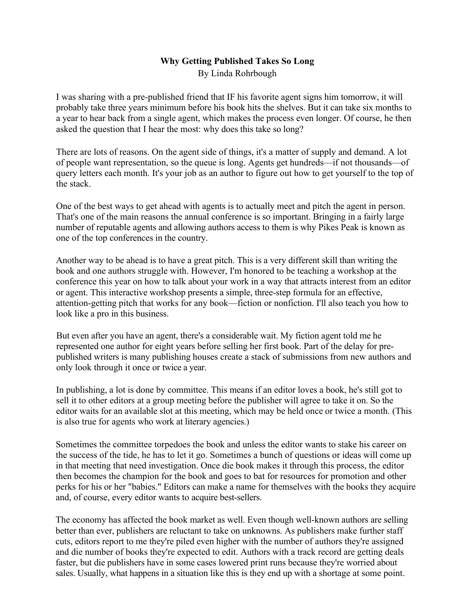## **Why Getting Published Takes So Long** By Linda Rohrbough

I was sharing with a pre-published friend that IF his favorite agent signs him tomorrow, it will probably take three years minimum before his book hits the shelves. But it can take six months to a year to hear back from a single agent, which makes the process even longer. Of course, he then asked the question that I hear the most: why does this take so long?

There are lots of reasons. On the agent side of things, it's a matter of supply and demand. A lot of people want representation, so the queue is long. Agents get hundreds—if not thousands—of query letters each month. It's your job as an author to figure out how to get yourself to the top of the stack.

One of the best ways to get ahead with agents is to actually meet and pitch the agent in person. That's one of the main reasons the annual conference is so important. Bringing in a fairly large number of reputable agents and allowing authors access to them is why Pikes Peak is known as one of the top conferences in the country.

Another way to be ahead is to have a great pitch. This is a very different skill than writing the book and one authors struggle with. However, I'm honored to be teaching a workshop at the conference this year on how to talk about your work in a way that attracts interest from an editor or agent. This interactive workshop presents a simple, three-step formula for an effective, attention-getting pitch that works for any book—fiction or nonfiction. I'll also teach you how to look like a pro in this business.

But even after you have an agent, there's a considerable wait. My fiction agent told me he represented one author for eight years before selling her first book. Part of the delay for prepublished writers is many publishing houses create a stack of submissions from new authors and only look through it once or twice a year.

In publishing, a lot is done by committee. This means if an editor loves a book, he's still got to sell it to other editors at a group meeting before the publisher will agree to take it on. So the editor waits for an available slot at this meeting, which may be held once or twice a month. (This is also true for agents who work at literary agencies.)

Sometimes the committee torpedoes the book and unless the editor wants to stake his career on the success of the tide, he has to let it go. Sometimes a bunch of questions or ideas will come up in that meeting that need investigation. Once die book makes it through this process, the editor then becomes the champion for the book and goes to bat for resources for promotion and other perks for his or her "babies." Editors can make a name for themselves with the books they acquire and, of course, every editor wants to acquire best-sellers.

The economy has affected the book market as well. Even though well-known authors are selling better than ever, publishers are reluctant to take on unknowns. As publishers make further staff cuts, editors report to me they're piled even higher with the number of authors they're assigned and die number of books they're expected to edit. Authors with a track record are getting deals faster, but die publishers have in some cases lowered print runs because they're worried about sales. Usually, what happens in a situation like this is they end up with a shortage at some point.